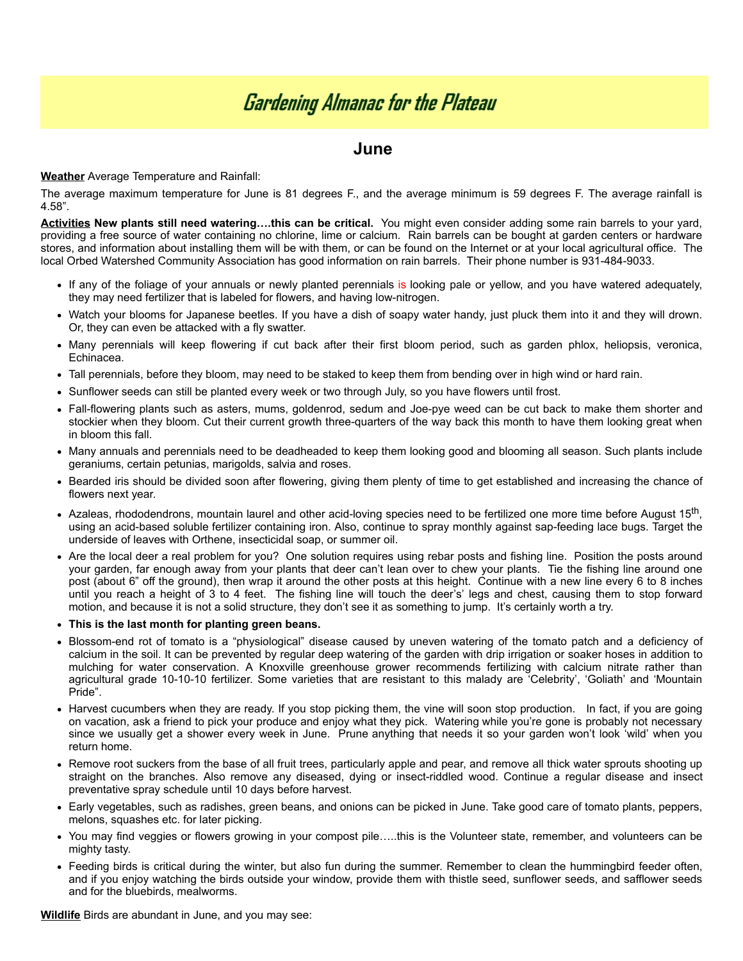## **Gardening Almanac for the Plateau**

## **June**

## **Weather** Average Temperature and Rainfall:

The average maximum temperature for June is 81 degrees F., and the average minimum is 59 degrees F. The average rainfall is 4.58".

**Activities New plants still need watering….this can be critical.** You might even consider adding some rain barrels to your yard, providing a free source of water containing no chlorine, lime or calcium. Rain barrels can be bought at garden centers or hardware stores, and information about installing them will be with them, or can be found on the Internet or at your local agricultural office. The local Orbed Watershed Community Association has good information on rain barrels. Their phone number is 931-484-9033.

- If any of the foliage of your annuals or newly planted perennials is looking pale or yellow, and you have watered adequately, they may need fertilizer that is labeled for flowers, and having low-nitrogen.
- Watch your blooms for Japanese beetles. If you have a dish of soapy water handy, just pluck them into it and they will drown. Or, they can even be attacked with a fly swatter.
- Many perennials will keep flowering if cut back after their first bloom period, such as garden phlox, heliopsis, veronica, Echinacea.
- Tall perennials, before they bloom, may need to be staked to keep them from bending over in high wind or hard rain.
- Sunflower seeds can still be planted every week or two through July, so you have flowers until frost.
- Fall-flowering plants such as asters, mums, goldenrod, sedum and Joe-pye weed can be cut back to make them shorter and stockier when they bloom. Cut their current growth three-quarters of the way back this month to have them looking great when in bloom this fall.
- Many annuals and perennials need to be deadheaded to keep them looking good and blooming all season. Such plants include geraniums, certain petunias, marigolds, salvia and roses.
- Bearded iris should be divided soon after flowering, giving them plenty of time to get established and increasing the chance of flowers next year.
- Azaleas, rhododendrons, mountain laurel and other acid-loving species need to be fertilized one more time before August 15<sup>th</sup>, using an acid-based soluble fertilizer containing iron. Also, continue to spray monthly against sap-feeding lace bugs. Target the underside of leaves with Orthene, insecticidal soap, or summer oil.
- Are the local deer a real problem for you? One solution requires using rebar posts and fishing line. Position the posts around your garden, far enough away from your plants that deer can't lean over to chew your plants. Tie the fishing line around one post (about 6" off the ground), then wrap it around the other posts at this height. Continue with a new line every 6 to 8 inches until you reach a height of 3 to 4 feet. The fishing line will touch the deer's' legs and chest, causing them to stop forward motion, and because it is not a solid structure, they don't see it as something to jump. It's certainly worth a try.
- **This is the last month for planting green beans.**
- Blossom-end rot of tomato is a "physiological" disease caused by uneven watering of the tomato patch and a deficiency of calcium in the soil. It can be prevented by regular deep watering of the garden with drip irrigation or soaker hoses in addition to mulching for water conservation. A Knoxville greenhouse grower recommends fertilizing with calcium nitrate rather than agricultural grade 10-10-10 fertilizer. Some varieties that are resistant to this malady are 'Celebrity', 'Goliath' and 'Mountain Pride".
- Harvest cucumbers when they are ready. If you stop picking them, the vine will soon stop production. In fact, if you are going on vacation, ask a friend to pick your produce and enjoy what they pick. Watering while you're gone is probably not necessary since we usually get a shower every week in June. Prune anything that needs it so your garden won't look 'wild' when you return home.
- Remove root suckers from the base of all fruit trees, particularly apple and pear, and remove all thick water sprouts shooting up straight on the branches. Also remove any diseased, dying or insect-riddled wood. Continue a regular disease and insect preventative spray schedule until 10 days before harvest.
- Early vegetables, such as radishes, green beans, and onions can be picked in June. Take good care of tomato plants, peppers, melons, squashes etc. for later picking.
- You may find veggies or flowers growing in your compost pile…..this is the Volunteer state, remember, and volunteers can be mighty tasty.
- Feeding birds is critical during the winter, but also fun during the summer. Remember to clean the hummingbird feeder often, and if you enjoy watching the birds outside your window, provide them with thistle seed, sunflower seeds, and safflower seeds and for the bluebirds, mealworms.

**Wildlife** Birds are abundant in June, and you may see: